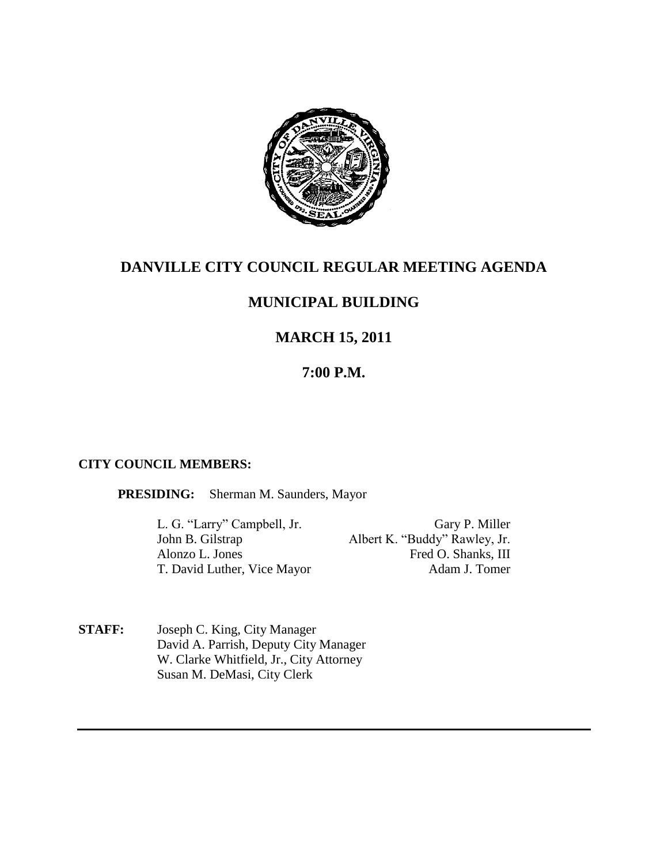

## **DANVILLE CITY COUNCIL REGULAR MEETING AGENDA**

# **MUNICIPAL BUILDING**

# **MARCH 15, 2011**

## **7:00 P.M.**

#### **CITY COUNCIL MEMBERS:**

**PRESIDING:** Sherman M. Saunders, Mayor

L. G. "Larry" Campbell, Jr. Gary P. Miller Albert K. "Buddy" Rawley, Jr. Alonzo L. Jones Fred O. Shanks, III T. David Luther, Vice Mayor Adam J. Tomer

**STAFF:** Joseph C. King, City Manager David A. Parrish, Deputy City Manager W. Clarke Whitfield, Jr., City Attorney Susan M. DeMasi, City Clerk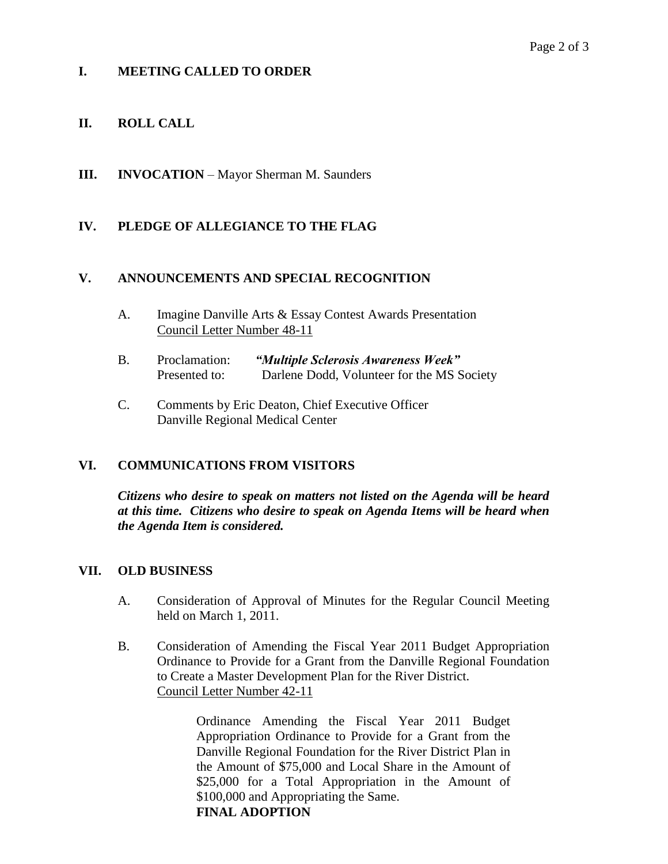### **I. MEETING CALLED TO ORDER**

### **II. ROLL CALL**

**III. INVOCATION** – Mayor Sherman M. Saunders

#### **IV. PLEDGE OF ALLEGIANCE TO THE FLAG**

#### **V. ANNOUNCEMENTS AND SPECIAL RECOGNITION**

- A. Imagine Danville Arts & Essay Contest Awards Presentation Council Letter Number 48-11
- B. Proclamation: *"Multiple Sclerosis Awareness Week"* Presented to: Darlene Dodd, Volunteer for the MS Society
- C. Comments by Eric Deaton, Chief Executive Officer Danville Regional Medical Center

#### **VI. COMMUNICATIONS FROM VISITORS**

*Citizens who desire to speak on matters not listed on the Agenda will be heard at this time. Citizens who desire to speak on Agenda Items will be heard when the Agenda Item is considered.*

#### **VII. OLD BUSINESS**

- A. Consideration of Approval of Minutes for the Regular Council Meeting held on March 1, 2011.
- B. Consideration of Amending the Fiscal Year 2011 Budget Appropriation Ordinance to Provide for a Grant from the Danville Regional Foundation to Create a Master Development Plan for the River District. Council Letter Number 42-11

Ordinance Amending the Fiscal Year 2011 Budget Appropriation Ordinance to Provide for a Grant from the Danville Regional Foundation for the River District Plan in the Amount of \$75,000 and Local Share in the Amount of \$25,000 for a Total Appropriation in the Amount of \$100,000 and Appropriating the Same. **FINAL ADOPTION**